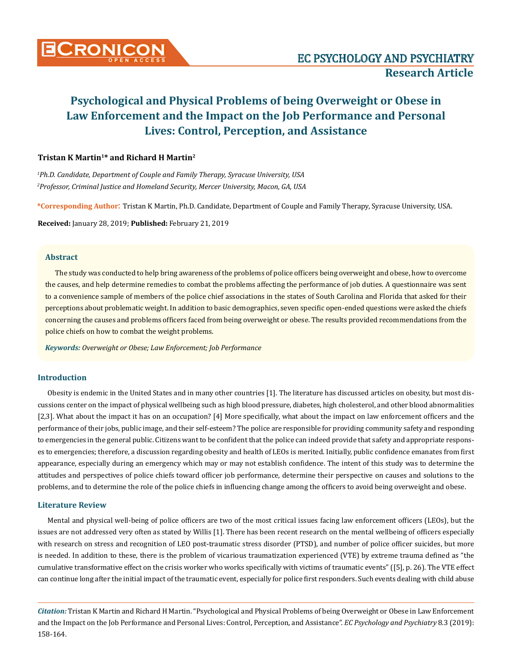

# **Psychological and Physical Problems of being Overweight or Obese in Law Enforcement and the Impact on the Job Performance and Personal Lives: Control, Perception, and Assistance**

# **Tristan K Martin1\* and Richard H Martin2**

*1 Ph.D. Candidate, Department of Couple and Family Therapy, Syracuse University, USA 2 Professor, Criminal Justice and Homeland Security, Mercer University, Macon, GA, USA*

**\*Corresponding Author**: Tristan K Martin, Ph.D. Candidate, Department of Couple and Family Therapy, Syracuse University, USA.

**Received:** January 28, 2019; **Published:** February 21, 2019

## **Abstract**

The study was conducted to help bring awareness of the problems of police officers being overweight and obese, how to overcome the causes, and help determine remedies to combat the problems affecting the performance of job duties. A questionnaire was sent to a convenience sample of members of the police chief associations in the states of South Carolina and Florida that asked for their perceptions about problematic weight. In addition to basic demographics, seven specific open-ended questions were asked the chiefs concerning the causes and problems officers faced from being overweight or obese. The results provided recommendations from the police chiefs on how to combat the weight problems.

*Keywords: Overweight or Obese; Law Enforcement; Job Performance*

# **Introduction**

Obesity is endemic in the United States and in many other countries [1]. The literature has discussed articles on obesity, but most discussions center on the impact of physical wellbeing such as high blood pressure, diabetes, high cholesterol, and other blood abnormalities [2,3]. What about the impact it has on an occupation? [4] More specifically, what about the impact on law enforcement officers and the performance of their jobs, public image, and their self-esteem? The police are responsible for providing community safety and responding to emergencies in the general public. Citizens want to be confident that the police can indeed provide that safety and appropriate responses to emergencies; therefore, a discussion regarding obesity and health of LEOs is merited. Initially, public confidence emanates from first appearance, especially during an emergency which may or may not establish confidence. The intent of this study was to determine the attitudes and perspectives of police chiefs toward officer job performance, determine their perspective on causes and solutions to the problems, and to determine the role of the police chiefs in influencing change among the officers to avoid being overweight and obese.

### **Literature Review**

Mental and physical well-being of police officers are two of the most critical issues facing law enforcement officers (LEOs), but the issues are not addressed very often as stated by Willis [1]. There has been recent research on the mental wellbeing of officers especially with research on stress and recognition of LEO post-traumatic stress disorder (PTSD), and number of police officer suicides, but more is needed. In addition to these, there is the problem of vicarious traumatization experienced (VTE) by extreme trauma defined as "the cumulative transformative effect on the crisis worker who works specifically with victims of traumatic events" ([5], p. 26). The VTE effect can continue long after the initial impact of the traumatic event, especially for police first responders. Such events dealing with child abuse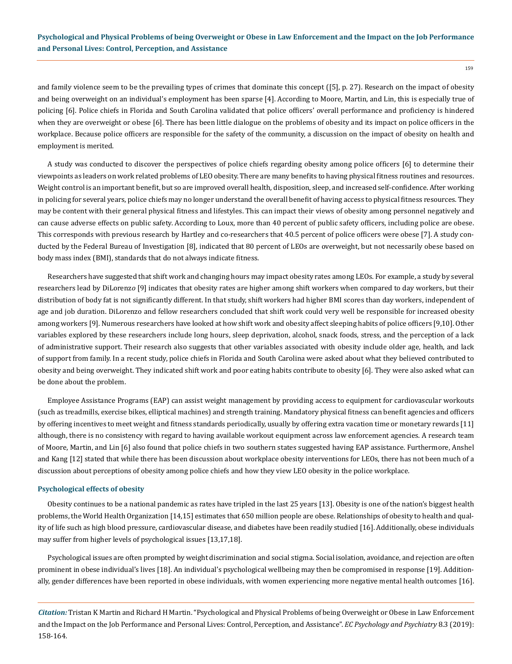159

and family violence seem to be the prevailing types of crimes that dominate this concept ([5], p. 27). Research on the impact of obesity and being overweight on an individual's employment has been sparse [4]. According to Moore, Martin, and Lin, this is especially true of policing [6]. Police chiefs in Florida and South Carolina validated that police officers' overall performance and proficiency is hindered when they are overweight or obese [6]. There has been little dialogue on the problems of obesity and its impact on police officers in the workplace. Because police officers are responsible for the safety of the community, a discussion on the impact of obesity on health and employment is merited.

A study was conducted to discover the perspectives of police chiefs regarding obesity among police officers [6] to determine their viewpoints as leaders on work related problems of LEO obesity. There are many benefits to having physical fitness routines and resources. Weight control is an important benefit, but so are improved overall health, disposition, sleep, and increased self-confidence. After working in policing for several years, police chiefs may no longer understand the overall benefit of having access to physical fitness resources. They may be content with their general physical fitness and lifestyles. This can impact their views of obesity among personnel negatively and can cause adverse effects on public safety. According to Loux, [more than 40 percent of public safety officers, including police are obese.](http://www.wsj.com/articles/memo-to-staff-time-to-lose-a-few-pounds-1418775776?KEYWORDS=pounds) This corresponds with previous research by Hartley and co-researchers that 40.5 percent of police officers were obese [7]. A study conducted by the Federal Bureau of Investigation [8], indicated that [80 percent of LEOs are overweight](http://dfw.cbslocal.com/2014/08/14/fbi-80-percent-of-police-officers-are-overweight/), but not necessarily obese based on body mass index (BMI), standards that do not always indicate fitness.

Researchers have suggested that shift work and changing hours may impact obesity rates among LEOs. For example, a study by several researchers lead by DiLorenz*o* [9] indicates that obesity rates are higher among shift workers when compared to day workers, but their distribution of body fat is not significantly different. In that study, shift workers had higher BMI scores than day workers, independent of age and job duration. DiLorenzo and fellow researchers concluded that shift work could very well be responsible for increased obesity among workers [9]. Numerous researchers have looked at how shift work and obesity affect sleeping habits of police officers [9,10]. Other variables explored by these researchers include long hours, sleep deprivation, alcohol, snack foods, stress, and the perception of a lack of administrative support. Their research also suggests that other variables associated with obesity include older age, health, and lack of support from family. In a recent study, police chiefs in Florida and South Carolina were asked about what they believed contributed to obesity and being overweight. They indicated shift work and poor eating habits contribute to obesity [6]. They were also asked what can be done about the problem.

Employee Assistance Programs (EAP) can assist weight management by providing access to equipment for cardiovascular workouts (such as treadmills, exercise bikes, elliptical machines) and strength training. Mandatory physical fitness can benefit agencies and officers by offering incentives to meet weight and fitness standards periodically, usually by offering extra vacation time or monetary rewards [11] although, there is no consistency with regard to having available workout equipment across law enforcement agencies. A research team of Moore, Martin, and Lin [6] also found that police chiefs in two southern states suggested having EAP assistance. Furthermore, Anshel and Kang [12] stated that while there has been discussion about workplace obesity interventions for LEOs, there has not been much of a discussion about perceptions of obesity among police chiefs and how they view LEO obesity in the police workplace.

#### **Psychological effects of obesity**

Obesity continues to be a national pandemic as rates have tripled in the last 25 years [13]. Obesity is one of the nation's biggest health problems, the World Health Organization [14,15] estimates that 650 million people are obese. Relationships of obesity to health and quality of life such as high blood pressure, cardiovascular disease, and diabetes have been readily studied [16]. Additionally, obese individuals may suffer from higher levels of psychological issues [13,17,18].

Psychological issues are often prompted by weight discrimination and social stigma. Social isolation, avoidance, and rejection are often prominent in obese individual's lives [18]. An individual's psychological wellbeing may then be compromised in response [19]. Additionally, gender differences have been reported in obese individuals, with women experiencing more negative mental health outcomes [16].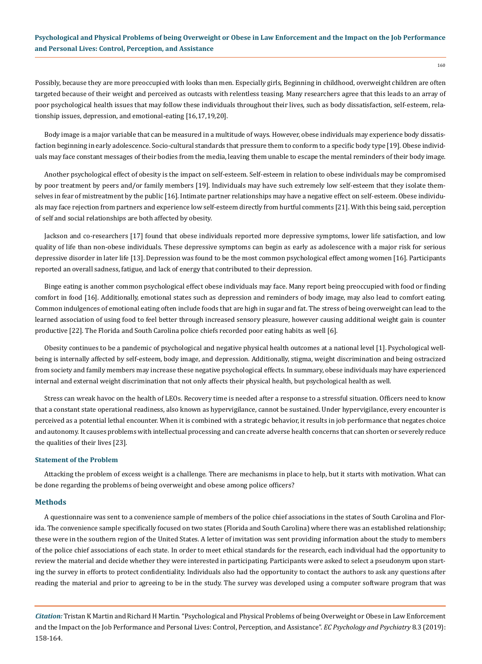# **Psychological and Physical Problems of being Overweight or Obese in Law Enforcement and the Impact on the Job Performance and Personal Lives: Control, Perception, and Assistance**

Possibly, because they are more preoccupied with looks than men. Especially girls, Beginning in childhood, overweight children are often targeted because of their weight and perceived as outcasts with relentless teasing. Many researchers agree that this leads to an array of poor psychological health issues that may follow these individuals throughout their lives, such as body dissatisfaction, self-esteem, relationship issues, depression, and emotional-eating [16,17,19,20].

Body image is a major variable that can be measured in a multitude of ways. However, obese individuals may experience body dissatisfaction beginning in early adolescence. Socio-cultural standards that pressure them to conform to a specific body type [19]. Obese individuals may face constant messages of their bodies from the media, leaving them unable to escape the mental reminders of their body image.

Another psychological effect of obesity is the impact on self-esteem. Self-esteem in relation to obese individuals may be compromised by poor treatment by peers and/or family members [19]. Individuals may have such extremely low self-esteem that they isolate themselves in fear of mistreatment by the public [16]. Intimate partner relationships may have a negative effect on self-esteem. Obese individuals may face rejection from partners and experience low self-esteem directly from hurtful comments [21]. With this being said, perception of self and social relationships are both affected by obesity.

Jackson and co-researchers [17] found that obese individuals reported more depressive symptoms, lower life satisfaction, and low quality of life than non-obese individuals. These depressive symptoms can begin as early as adolescence with a major risk for serious depressive disorder in later life [13]. Depression was found to be the most common psychological effect among women [16]. Participants reported an overall sadness, fatigue, and lack of energy that contributed to their depression.

Binge eating is another common psychological effect obese individuals may face. Many report being preoccupied with food or finding comfort in food [16]. Additionally, emotional states such as depression and reminders of body image, may also lead to comfort eating. Common indulgences of emotional eating often include foods that are high in sugar and fat. The stress of being overweight can lead to the learned association of using food to feel better through increased sensory pleasure, however causing additional weight gain is counter productive [22]. The Florida and South Carolina police chiefs recorded poor eating habits as well [6].

Obesity continues to be a pandemic of psychological and negative physical health outcomes at a national level [1]. Psychological wellbeing is internally affected by self-esteem, body image, and depression. Additionally, stigma, weight discrimination and being ostracized from society and family members may increase these negative psychological effects. In summary, obese individuals may have experienced internal and external weight discrimination that not only affects their physical health, but psychological health as well.

Stress can wreak havoc on the health of LEOs. Recovery time is needed after a response to a stressful situation. Officers need to know that a constant state operational readiness, also known as hypervigilance, cannot be sustained. Under hypervigilance, every encounter is perceived as a potential lethal encounter. When it is combined with a strategic behavior, it results in job performance that negates choice and autonomy. It causes problems with intellectual processing and can create adverse health concerns that can shorten or severely reduce the qualities of their lives [23].

#### **Statement of the Problem**

Attacking the problem of excess weight is a challenge. There are mechanisms in place to help, but it starts with motivation. What can be done regarding the problems of being overweight and obese among police officers?

## **Methods**

A questionnaire was sent to a convenience sample of members of the police chief associations in the states of South Carolina and Florida. The convenience sample specifically focused on two states (Florida and South Carolina) where there was an established relationship; these were in the southern region of the United States. A letter of invitation was sent providing information about the study to members of the police chief associations of each state. In order to meet ethical standards for the research, each individual had the opportunity to review the material and decide whether they were interested in participating. Participants were asked to select a pseudonym upon starting the survey in efforts to protect confidentiality. Individuals also had the opportunity to contact the authors to ask any questions after reading the material and prior to agreeing to be in the study. The survey was developed using a computer software program that was

*Citation:* Tristan K Martin and Richard H Martin. "Psychological and Physical Problems of being Overweight or Obese in Law Enforcement and the Impact on the Job Performance and Personal Lives: Control, Perception, and Assistance". *EC Psychology and Psychiatry* 8.3 (2019): 158-164.

160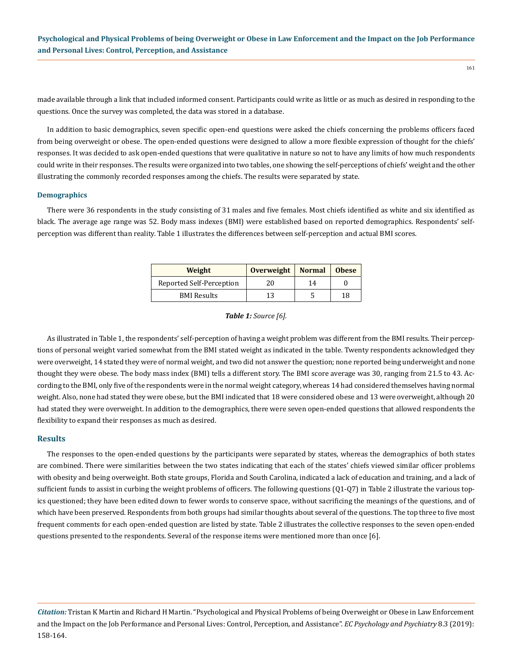made available through a link that included informed consent. Participants could write as little or as much as desired in responding to the questions. Once the survey was completed, the data was stored in a database.

In addition to basic demographics, seven specific open-end questions were asked the chiefs concerning the problems officers faced from being overweight or obese. The open-ended questions were designed to allow a more flexible expression of thought for the chiefs' responses. It was decided to ask open-ended questions that were qualitative in nature so not to have any limits of how much respondents could write in their responses. The results were organized into two tables, one showing the self-perceptions of chiefs' weight and the other illustrating the commonly recorded responses among the chiefs. The results were separated by state.

## **Demographics**

There were 36 respondents in the study consisting of 31 males and five females. Most chiefs identified as white and six identified as black. The average age range was 52. Body mass indexes (BMI) were established based on reported demographics. Respondents' selfperception was different than reality. Table 1 illustrates the differences between self-perception and actual BMI scores.

| Weight                   | <b>Overweight</b> | <b>Normal</b> | <b>Obese</b> |
|--------------------------|-------------------|---------------|--------------|
| Reported Self-Perception | 20                | 14            |              |
| <b>BMI</b> Results       | 13                |               | 18           |

*Table 1: Source [6].*

As illustrated in Table 1, the respondents' self-perception of having a weight problem was different from the BMI results. Their perceptions of personal weight varied somewhat from the BMI stated weight as indicated in the table. Twenty respondents acknowledged they were overweight, 14 stated they were of normal weight, and two did not answer the question; none reported being underweight and none thought they were obese. The body mass index (BMI) tells a different story. The BMI score average was 30, ranging from 21.5 to 43. According to the BMI, only five of the respondents were in the normal weight category, whereas 14 had considered themselves having normal weight. Also, none had stated they were obese, but the BMI indicated that 18 were considered obese and 13 were overweight, although 20 had stated they were overweight. In addition to the demographics, there were seven open-ended questions that allowed respondents the flexibility to expand their responses as much as desired.

## **Results**

The responses to the open-ended questions by the participants were separated by states, whereas the demographics of both states are combined. There were similarities between the two states indicating that each of the states' chiefs viewed similar officer problems with obesity and being overweight. Both state groups, Florida and South Carolina, indicated a lack of education and training, and a lack of sufficient funds to assist in curbing the weight problems of officers. The following questions (Q1-Q7) in Table 2 illustrate the various topics questioned; they have been edited down to fewer words to conserve space, without sacrificing the meanings of the questions, and of which have been preserved. Respondents from both groups had similar thoughts about several of the questions. The top three to five most frequent comments for each open-ended question are listed by state. Table 2 illustrates the collective responses to the seven open-ended questions presented to the respondents. Several of the response items were mentioned more than once [6].

*Citation:* Tristan K Martin and Richard H Martin. "Psychological and Physical Problems of being Overweight or Obese in Law Enforcement and the Impact on the Job Performance and Personal Lives: Control, Perception, and Assistance". *EC Psychology and Psychiatry* 8.3 (2019): 158-164.

161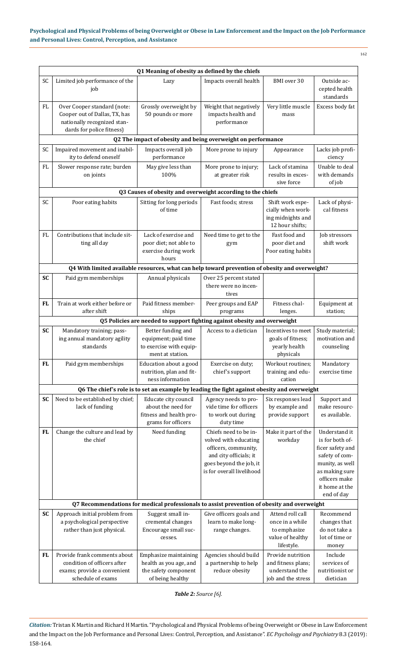| I<br>$\sim$ |  |
|-------------|--|

| Q1 Meaning of obesity as defined by the chiefs |                                                                                                                          |                                                                                              |                                                                                                                                                          |                                                                                       |                                                                                                                                                              |  |  |  |
|------------------------------------------------|--------------------------------------------------------------------------------------------------------------------------|----------------------------------------------------------------------------------------------|----------------------------------------------------------------------------------------------------------------------------------------------------------|---------------------------------------------------------------------------------------|--------------------------------------------------------------------------------------------------------------------------------------------------------------|--|--|--|
| SC                                             | Limited job performance of the<br>job                                                                                    | Lazy                                                                                         | Impacts overall health                                                                                                                                   | BMI over 30                                                                           | Outside ac-<br>cepted health<br>standards                                                                                                                    |  |  |  |
| FL                                             | Over Cooper standard (note:<br>Cooper out of Dallas, TX, has<br>nationally recognized stan-<br>dards for police fitness) | Grossly overweight by<br>50 pounds or more                                                   | Weight that negatively<br>impacts health and<br>performance                                                                                              | Very little muscle<br>mass                                                            | Excess body fat                                                                                                                                              |  |  |  |
|                                                |                                                                                                                          | Q2 The impact of obesity and being overweight on performance                                 |                                                                                                                                                          |                                                                                       |                                                                                                                                                              |  |  |  |
| SC                                             | Impaired movement and inabil-<br>ity to defend oneself                                                                   | Impacts overall job<br>performance                                                           | More prone to injury                                                                                                                                     | Appearance                                                                            | Lacks job profi-<br>ciency                                                                                                                                   |  |  |  |
| FL                                             | Slower response rate; burden<br>on joints                                                                                | May give less than<br>100%                                                                   | More prone to injury;<br>at greater risk                                                                                                                 | Lack of stamina<br>results in exces-<br>sive force                                    | Unable to deal<br>with demands<br>of job                                                                                                                     |  |  |  |
|                                                |                                                                                                                          | Q3 Causes of obesity and overweight according to the chiefs                                  |                                                                                                                                                          |                                                                                       |                                                                                                                                                              |  |  |  |
| SC                                             | Poor eating habits                                                                                                       | Sitting for long periods<br>of time                                                          | Fast foods; stress                                                                                                                                       | Shift work espe-<br>cially when work-<br>ing midnights and<br>12 hour shifts;         | Lack of physi-<br>cal fitness                                                                                                                                |  |  |  |
| FL                                             | Contributions that include sit-<br>ting all day                                                                          | Lack of exercise and<br>poor diet; not able to<br>exercise during work<br>hours              | Need time to get to the<br>gym                                                                                                                           | Fast food and<br>poor diet and<br>Poor eating habits                                  | Job stressors<br>shift work                                                                                                                                  |  |  |  |
|                                                | Q4 With limited available resources, what can help toward prevention of obesity and overweight?                          |                                                                                              |                                                                                                                                                          |                                                                                       |                                                                                                                                                              |  |  |  |
| <b>SC</b>                                      | Paid gym memberships                                                                                                     | Annual physicals                                                                             | Over 25 percent stated<br>there were no incen-<br>tives                                                                                                  |                                                                                       |                                                                                                                                                              |  |  |  |
| <b>FL</b>                                      | Train at work either before or<br>after shift                                                                            | Paid fitness member-<br>ships                                                                | Peer groups and EAP<br>programs                                                                                                                          | Fitness chal-<br>lenges.                                                              | Equipment at<br>station;                                                                                                                                     |  |  |  |
|                                                |                                                                                                                          | Q5 Policies are needed to support fighting against obesity and overweight                    |                                                                                                                                                          |                                                                                       |                                                                                                                                                              |  |  |  |
| <b>SC</b>                                      | Mandatory training; pass-<br>ing annual mandatory agility<br>standards                                                   | Better funding and<br>equipment; paid time<br>to exercise with equip-<br>ment at station.    | Access to a dietician                                                                                                                                    | Incentives to meet<br>goals of fitness;<br>yearly health<br>physicals                 | Study material;<br>motivation and<br>counseling                                                                                                              |  |  |  |
| <b>FL</b>                                      | Paid gym memberships                                                                                                     | Education about a good<br>nutrition, plan and fit-<br>ness information                       | Exercise on duty;<br>chief's support                                                                                                                     | Workout routines;<br>training and edu-<br>cation                                      | Mandatory<br>exercise time                                                                                                                                   |  |  |  |
|                                                |                                                                                                                          | Q6 The chief's role is to set an example by leading the fight against obesity and overweight |                                                                                                                                                          |                                                                                       |                                                                                                                                                              |  |  |  |
| SC                                             | Need to be established by chief;<br>lack of funding                                                                      | Educate city council<br>about the need for<br>fitness and health pro-<br>grams for officers  | Agency needs to pro-<br>vide time for officers<br>to work out during<br>duty time                                                                        | Six responses lead<br>by example and<br>provide support                               | Support and<br>make resourc-<br>es available.                                                                                                                |  |  |  |
| <b>FL</b>                                      | Change the culture and lead by<br>the chief                                                                              | Need funding                                                                                 | Chiefs need to be in-<br>volved with educating<br>officers, community,<br>and city officials; it<br>goes beyond the job, it<br>is for overall livelihood | Make it part of the<br>workday                                                        | Understand it<br>is for both of-<br>ficer safety and<br>safety of com-<br>munity, as well<br>as making sure<br>officers make<br>it home at the<br>end of day |  |  |  |
|                                                | Q7 Recommendations for medical professionals to assist prevention of obesity and overweight                              |                                                                                              |                                                                                                                                                          |                                                                                       |                                                                                                                                                              |  |  |  |
| <b>SC</b>                                      | Approach initial problem from<br>a psychological perspective<br>rather than just physical.                               | Suggest small in-<br>cremental changes<br>Encourage small suc-<br>cesses.                    | Give officers goals and<br>learn to make long-<br>range changes.                                                                                         | Attend roll call<br>once in a while<br>to emphasize<br>value of healthy<br>lifestyle. | Recommend<br>changes that<br>do not take a<br>lot of time or<br>money                                                                                        |  |  |  |
| <b>FL</b>                                      | Provide frank comments about<br>condition of officers after<br>exams; provide a convenient<br>schedule of exams          | Emphasize maintaining<br>health as you age, and<br>the safety component<br>of being healthy  | Agencies should build<br>a partnership to help<br>reduce obesity                                                                                         | Provide nutrition<br>and fitness plans;<br>understand the<br>job and the stress       | Include<br>services of<br>nutritionist or<br>dietician                                                                                                       |  |  |  |

*Table 2: Source [6].*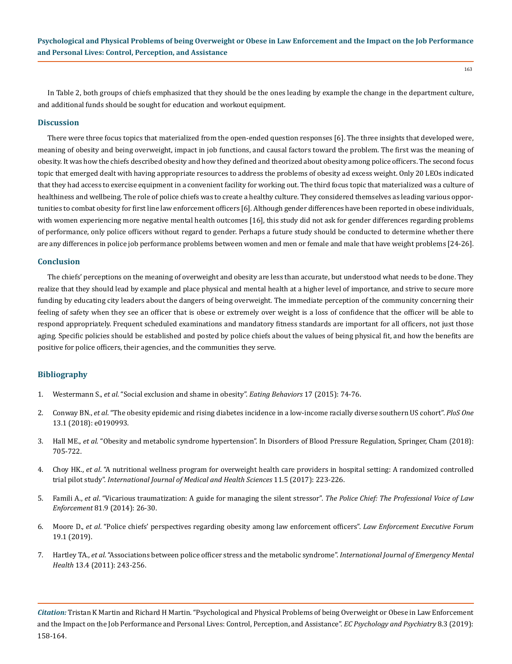In Table 2, both groups of chiefs emphasized that they should be the ones leading by example the change in the department culture, and additional funds should be sought for education and workout equipment.

#### **Discussion**

There were three focus topics that materialized from the open-ended question responses [6]. The three insights that developed were, meaning of obesity and being overweight, impact in job functions, and causal factors toward the problem. The first was the meaning of obesity. It was how the chiefs described obesity and how they defined and theorized about obesity among police officers. The second focus topic that emerged dealt with having appropriate resources to address the problems of obesity ad excess weight. Only 20 LEOs indicated that they had access to exercise equipment in a convenient facility for working out. The third focus topic that materialized was a culture of healthiness and wellbeing. The role of police chiefs was to create a healthy culture. They considered themselves as leading various opportunities to combat obesity for first line law enforcement officers [6]. Although gender differences have been reported in obese individuals, with women experiencing more negative mental health outcomes [16], this study did not ask for gender differences regarding problems of performance, only police officers without regard to gender. Perhaps a future study should be conducted to determine whether there are any differences in police job performance problems between women and men or female and male that have weight problems [24-26].

#### **Conclusion**

The chiefs' perceptions on the meaning of overweight and obesity are less than accurate, but understood what needs to be done. They realize that they should lead by example and place physical and mental health at a higher level of importance, and strive to secure more funding by educating city leaders about the dangers of being overweight*.* The immediate perception of the community concerning their feeling of safety when they see an officer that is obese or extremely over weight is a loss of confidence that the officer will be able to respond appropriately. Frequent scheduled examinations and mandatory fitness standards are important for all officers, not just those aging*.* Specific policies should be established and posted by police chiefs about the values of being physical fit, and how the benefits are positive for police officers, their agencies, and the communities they serve.

#### **Bibliography**

- 1. Westermann S., *et al*[. "Social exclusion and shame in obesity".](https://www.ncbi.nlm.nih.gov/pubmed/25615911) *Eating Behaviors* 17 (2015): 74-76.
- 2. Conway BN., *et al*[. "The obesity epidemic and rising diabetes incidence in a low-income racially diverse southern US cohort".](https://www.ncbi.nlm.nih.gov/pubmed/29324894) *PloS One* [13.1 \(2018\): e0190993.](https://www.ncbi.nlm.nih.gov/pubmed/29324894)
- 3. Hall ME., *et al*. "Obesity and metabolic syndrome hypertension". In Disorders of Blood Pressure Regulation, Springer, Cham (2018): 705-722.
- 4. Choy HK., *et al*[. "A nutritional wellness program for overweight health care providers in hospital setting: A randomized controlled](https://waset.org/publications/10007085/a-nutritional-wellness-program-for-overweight-health-care-providers-in-hospital-setting-a-randomized-controlled-trial-pilot-study) trial pilot study". *[International Journal of Medical and Health Sciences](https://waset.org/publications/10007085/a-nutritional-wellness-program-for-overweight-health-care-providers-in-hospital-setting-a-randomized-controlled-trial-pilot-study)* 11.5 (2017): 223-226.
- 5. Famili A., *et al*[. "Vicarious traumatization: A guide for managing the silent stressor".](http://www.policechiefmagazine.org/vicarious-traumatization-a-guide-for-managing-the-silent-stressor/) *The Police Chief: The Professional Voice of Law Enforcement* [81.9 \(2014\): 26-30.](http://www.policechiefmagazine.org/vicarious-traumatization-a-guide-for-managing-the-silent-stressor/)
- 6. Moore D., *et al*. "Police chiefs' perspectives regarding obesity among law enforcement officers". *Law Enforcement Executive Forum*  19.1 (2019).
- 7. Hartley TA., *et al*[. "Associations between police officer stress and the metabolic syndrome".](https://www.ncbi.nlm.nih.gov/pmc/articles/PMC4734368/) *International Journal of Emergency Mental Health* [13.4 \(2011\): 243-256.](https://www.ncbi.nlm.nih.gov/pmc/articles/PMC4734368/)

*Citation:* Tristan K Martin and Richard H Martin. "Psychological and Physical Problems of being Overweight or Obese in Law Enforcement and the Impact on the Job Performance and Personal Lives: Control, Perception, and Assistance". *EC Psychology and Psychiatry* 8.3 (2019): 158-164.

163